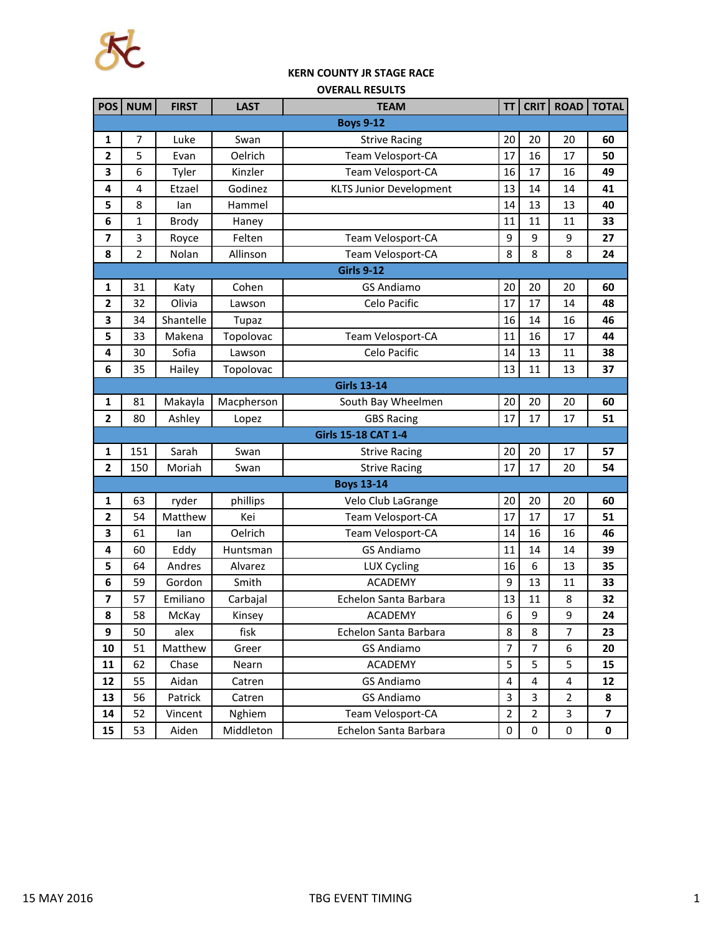

## **KERN COUNTY JR STAGE RACE**

| <b>OVERALL RESULTS</b> |  |
|------------------------|--|

| <b>POS</b>              | <b>NUM</b>         | <b>FIRST</b> | <b>LAST</b>  | <b>TEAM</b>                    | TΤ               | <b>CRIT</b>    | <b>ROAD</b>    | <b>TOTAL</b>            |  |  |
|-------------------------|--------------------|--------------|--------------|--------------------------------|------------------|----------------|----------------|-------------------------|--|--|
| <b>Boys 9-12</b>        |                    |              |              |                                |                  |                |                |                         |  |  |
| 1                       | 7                  | Luke         | Swan         | <b>Strive Racing</b>           | 20               | 20             | 20             | 60                      |  |  |
| $\mathbf{2}$            | 5                  | Evan         | Oelrich      | Team Velosport-CA              | 17               | 16             | 17             | 50                      |  |  |
| 3                       | 6                  | Tyler        | Kinzler      | Team Velosport-CA              | 16               | 17             | 16             | 49                      |  |  |
| 4                       | $\overline{4}$     | Etzael       | Godinez      | <b>KLTS Junior Development</b> | 13               | 14             | 14             | 41                      |  |  |
| 5                       | 8                  | lan          | Hammel       |                                | 14               | 13             | 13             | 40                      |  |  |
| 6                       | 1                  | <b>Brody</b> | Haney        |                                | 11               | 11             | 11             | 33                      |  |  |
| 7                       | 3                  | Royce        | Felten       | Team Velosport-CA              | 9                | 9              | 9              | 27                      |  |  |
| 8                       | $\overline{2}$     | Nolan        | Allinson     | Team Velosport-CA              | 8                | 8              | 8              | 24                      |  |  |
|                         |                    |              |              | <b>Girls 9-12</b>              |                  |                |                |                         |  |  |
| 1                       | 31                 | Katy         | Cohen        | <b>GS Andiamo</b>              | 20               | 20             | 20             | 60                      |  |  |
| $\overline{\mathbf{2}}$ | 32                 | Olivia       | Lawson       | Celo Pacific                   | 17               | 17             | 14             | 48                      |  |  |
| 3                       | 34                 | Shantelle    | <b>Tupaz</b> |                                | 16               | 14             | 16             | 46                      |  |  |
| 5                       | 33                 | Makena       | Topolovac    | Team Velosport-CA              | 11               | 16             | 17             | 44                      |  |  |
| 4                       | 30                 | Sofia        | Lawson       | Celo Pacific                   | 14               | 13             | 11             | 38                      |  |  |
| 6                       | 35                 | Hailey       | Topolovac    |                                | 13               | 11             | 13             | 37                      |  |  |
|                         | <b>Girls 13-14</b> |              |              |                                |                  |                |                |                         |  |  |
| $\mathbf{1}$            | 81                 | Makayla      | Macpherson   | South Bay Wheelmen             | 20               | 20             | 20             | 60                      |  |  |
| $\mathbf{2}$            | 80                 | Ashley       | Lopez        | <b>GBS Racing</b>              | 17               | 17             | 17             | 51                      |  |  |
|                         |                    |              |              | <b>Girls 15-18 CAT 1-4</b>     |                  |                |                |                         |  |  |
| $\mathbf{1}$            | 151                | Sarah        | Swan         | <b>Strive Racing</b>           | 20               | 20             | 17             | 57                      |  |  |
| $\mathbf{2}$            | 150                | Moriah       | Swan         | <b>Strive Racing</b>           | 17               | 17             | 20             | 54                      |  |  |
|                         |                    |              |              | <b>Boys 13-14</b>              |                  |                |                |                         |  |  |
| $\mathbf{1}$            | 63                 | ryder        | phillips     | Velo Club LaGrange             | 20               | 20             | 20             | 60                      |  |  |
| 2                       | 54                 | Matthew      | Kei          | Team Velosport-CA              | 17               | 17             | 17             | 51                      |  |  |
| 3                       | 61                 | lan          | Oelrich      | Team Velosport-CA              | 14               | 16             | 16             | 46                      |  |  |
| 4                       | 60                 | Eddy         | Huntsman     | <b>GS Andiamo</b>              | 11               | 14             | 14             | 39                      |  |  |
| 5                       | 64                 | Andres       | Alvarez      | <b>LUX Cycling</b>             | 16               | 6              | 13             | 35                      |  |  |
| 6                       | 59                 | Gordon       | Smith        | <b>ACADEMY</b>                 | 9                | 13             | 11             | 33                      |  |  |
| 7                       | 57                 | Emiliano     | Carbajal     | Echelon Santa Barbara          | 13               | 11             | 8              | 32                      |  |  |
| 8                       | 58                 | McKay        | Kinsey       | <b>ACADEMY</b>                 | 6                | 9              | 9              | 24                      |  |  |
| 9                       | 50                 | alex         | fisk         | Echelon Santa Barbara          | 8                | 8              | 7              | 23                      |  |  |
| 10                      | 51                 | Matthew      | Greer        | <b>GS Andiamo</b>              | $\overline{7}$   | 7              | 6              | 20                      |  |  |
| 11                      | 62                 | Chase        | Nearn        | <b>ACADEMY</b>                 | 5                | 5              | 5              | 15                      |  |  |
| 12                      | 55                 | Aidan        | Catren       | <b>GS Andiamo</b>              | $\overline{4}$   | $\overline{4}$ | $\pmb{4}$      | 12                      |  |  |
| 13                      | 56                 | Patrick      | Catren       | <b>GS Andiamo</b>              | 3                | 3              | $\overline{2}$ | 8                       |  |  |
| 14                      | 52                 | Vincent      | Nghiem       | Team Velosport-CA              | $\mathbf 2$      | $\overline{2}$ | 3              | $\overline{\mathbf{z}}$ |  |  |
| 15                      | 53                 | Aiden        | Middleton    | Echelon Santa Barbara          | $\boldsymbol{0}$ | 0              | $\pmb{0}$      | 0                       |  |  |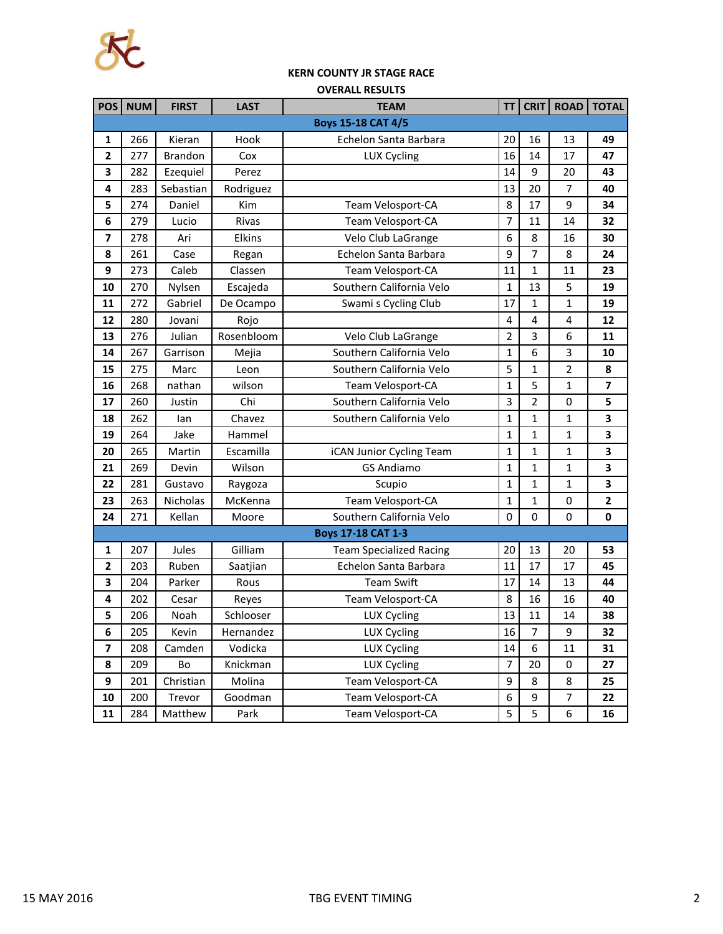

## **KERN COUNTY JR STAGE RACE**

| <b>OVERALL RESULTS</b>    |            |                 |             |                                |                |                |                  |              |
|---------------------------|------------|-----------------|-------------|--------------------------------|----------------|----------------|------------------|--------------|
| POS                       | <b>NUM</b> | <b>FIRST</b>    | <b>LAST</b> | <b>TEAM</b>                    | <b>TT</b>      | <b>CRIT</b>    | <b>ROAD</b>      | <b>TOTAL</b> |
| <b>Boys 15-18 CAT 4/5</b> |            |                 |             |                                |                |                |                  |              |
| 1                         | 266        | Kieran          | Hook        | Echelon Santa Barbara          | 20             | 16             | 13               | 49           |
| $\overline{2}$            | 277        | <b>Brandon</b>  | Cox         | <b>LUX Cycling</b>             | 16             | 14             | 17               | 47           |
| 3                         | 282        | Ezequiel        | Perez       |                                | 14             | 9              | 20               | 43           |
| 4                         | 283        | Sebastian       | Rodriguez   |                                | 13             | 20             | $\overline{7}$   | 40           |
| 5                         | 274        | Daniel          | Kim         | Team Velosport-CA              | 8              | 17             | 9                | 34           |
| 6                         | 279        | Lucio           | Rivas       | Team Velosport-CA              | $\overline{7}$ | 11             | 14               | 32           |
| 7                         | 278        | Ari             | Elkins      | Velo Club LaGrange             | 6              | 8              | 16               | 30           |
| 8                         | 261        | Case            | Regan       | Echelon Santa Barbara          | 9              | 7              | 8                | 24           |
| 9                         | 273        | Caleb           | Classen     | Team Velosport-CA              | 11             | 1              | 11               | 23           |
| 10                        | 270        | Nylsen          | Escajeda    | Southern California Velo       | $\mathbf{1}$   | 13             | 5                | 19           |
| 11                        | 272        | Gabriel         | De Ocampo   | Swami s Cycling Club           | 17             | 1              | 1                | 19           |
| 12                        | 280        | Jovani          | Rojo        |                                | 4              | 4              | 4                | 12           |
| 13                        | 276        | Julian          | Rosenbloom  | Velo Club LaGrange             | 2              | 3              | 6                | 11           |
| 14                        | 267        | Garrison        | Mejia       | Southern California Velo       | $\mathbf{1}$   | 6              | 3                | 10           |
| 15                        | 275        | Marc            | Leon        | Southern California Velo       | 5              | 1              | 2                | 8            |
| 16                        | 268        | nathan          | wilson      | Team Velosport-CA              | 1              | 5              | 1                | 7            |
| 17                        | 260        | Justin          | Chi         | Southern California Velo       | 3              | $\overline{2}$ | $\boldsymbol{0}$ | 5            |
| 18                        | 262        | lan             | Chavez      | Southern California Velo       | 1              | 1              | 1                | 3            |
| 19                        | 264        | Jake            | Hammel      |                                | 1              | $\mathbf{1}$   | 1                | 3            |
| 20                        | 265        | Martin          | Escamilla   | iCAN Junior Cycling Team       | 1              | 1              | 1                | 3            |
| 21                        | 269        | Devin           | Wilson      | <b>GS Andiamo</b>              | $\mathbf{1}$   | 1              | 1                | 3            |
| 22                        | 281        | Gustavo         | Raygoza     | Scupio                         | $\mathbf{1}$   | $\mathbf{1}$   | 1                | 3            |
| 23                        | 263        | <b>Nicholas</b> | McKenna     | Team Velosport-CA              | 1              | 1              | 0                | 2            |
| 24                        | 271        | Kellan          | Moore       | Southern California Velo       | $\mathbf 0$    | $\mathbf 0$    | $\mathbf 0$      | $\mathbf 0$  |
|                           |            |                 |             | <b>Boys 17-18 CAT 1-3</b>      |                |                |                  |              |
| 1                         | 207        | Jules           | Gilliam     | <b>Team Specialized Racing</b> | 20             | 13             | 20               | 53           |
| $\overline{2}$            | 203        | Ruben           | Saatjian    | Echelon Santa Barbara          | 11             | 17             | 17               | 45           |
| 3                         | 204        | Parker          | Rous        | <b>Team Swift</b>              | 17             | 14             | 13               | 44           |
| 4                         | 202        | Cesar           | Reyes       | Team Velosport-CA              | 8              | 16             | 16               | 40           |
| 5                         | 206        | Noah            | Schlooser   | LUX Cycling                    | 13             | 11             | 14               | 38           |
| 6                         | 205        | Kevin           | Hernandez   | <b>LUX Cycling</b>             | 16             | $\overline{7}$ | 9                | 32           |
| 7                         | 208        | Camden          | Vodicka     | <b>LUX Cycling</b>             | 14             | 6              | 11               | 31           |
| 8                         | 209        | Bo              | Knickman    | <b>LUX Cycling</b>             | $\overline{7}$ | 20             | $\pmb{0}$        | 27           |
| 9                         | 201        | Christian       | Molina      | Team Velosport-CA              | 9              | 8              | 8                | 25           |
| 10                        | 200        | Trevor          | Goodman     | Team Velosport-CA              | 6              | 9              | 7                | 22           |
| 11                        | 284        | Matthew         | Park        | Team Velosport-CA              | 5              | 5              | $\boldsymbol{6}$ | 16           |